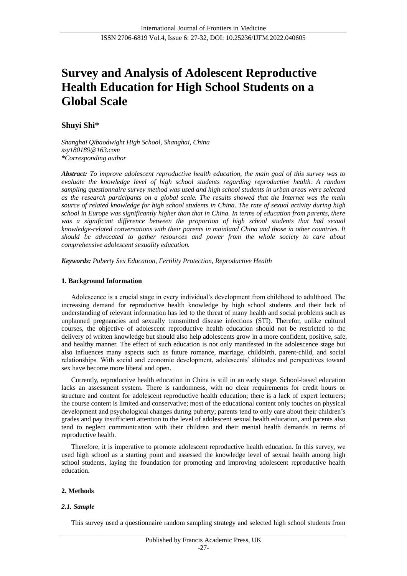# **Survey and Analysis of Adolescent Reproductive Health Education for High School Students on a Global Scale**

# **Shuyi Shi\***

*Shanghai Qibaodwight High School, Shanghai, China ssy180189@163.com \*Corresponding author*

*Abstract: To improve adolescent reproductive health education, the main goal of this survey was to evaluate the knowledge level of high school students regarding reproductive health. A random sampling questionnaire survey method was used and high school students in urban areas were selected as the research participants on a global scale. The results showed that the Internet was the main source of related knowledge for high school students in China. The rate of sexual activity during high school in Europe was significantly higher than that in China. In terms of education from parents, there was a significant difference between the proportion of high school students that had sexual knowledge-related conversations with their parents in mainland China and those in other countries. It should be advocated to gather resources and power from the whole society to care about comprehensive adolescent sexuality education.*

*Keywords: Puberty Sex Education, Fertility Protection, Reproductive Health*

## **1. Background Information**

Adolescence is a crucial stage in every individual's development from childhood to adulthood. The increasing demand for reproductive health knowledge by high school students and their lack of understanding of relevant information has led to the threat of many health and social problems such as unplanned pregnancies and sexually transmitted disease infections (STI). Therefor, unlike cultural courses, the objective of adolescent reproductive health education should not be restricted to the delivery of written knowledge but should also help adolescents grow in a more confident, positive, safe, and healthy manner. The effect of such education is not only manifested in the adolescence stage but also influences many aspects such as future romance, marriage, childbirth, parent-child, and social relationships. With social and economic development, adolescents' altitudes and perspectives toward sex have become more liberal and open.

Currently, reproductive health education in China is still in an early stage. School-based education lacks an assessment system. There is randomness, with no clear requirements for credit hours or structure and content for adolescent reproductive health education; there is a lack of expert lecturers; the course content is limited and conservative; most of the educational content only touches on physical development and psychological changes during puberty; parents tend to only care about their children's grades and pay insufficient attention to the level of adolescent sexual health education, and parents also tend to neglect communication with their children and their mental health demands in terms of reproductive health.

Therefore, it is imperative to promote adolescent reproductive health education. In this survey, we used high school as a starting point and assessed the knowledge level of sexual health among high school students, laying the foundation for promoting and improving adolescent reproductive health education.

## **2. Methods**

## *2.1. Sample*

This survey used a questionnaire random sampling strategy and selected high school students from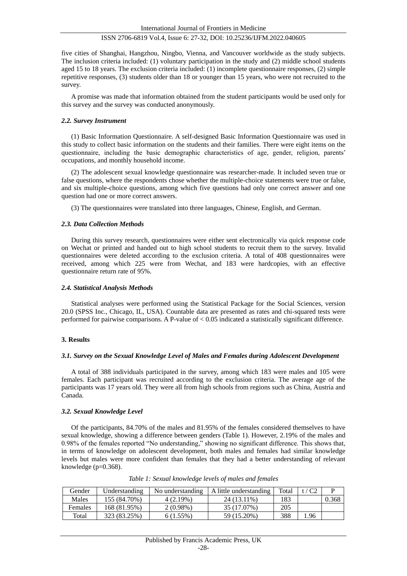five cities of Shanghai, Hangzhou, Ningbo, Vienna, and Vancouver worldwide as the study subjects. The inclusion criteria included: (1) voluntary participation in the study and (2) middle school students aged 15 to 18 years. The exclusion criteria included: (1) incomplete questionnaire responses, (2) simple repetitive responses, (3) students older than 18 or younger than 15 years, who were not recruited to the survey.

A promise was made that information obtained from the student participants would be used only for this survey and the survey was conducted anonymously.

#### *2.2. Survey Instrument*

(1) Basic Information Questionnaire. A self-designed Basic Information Questionnaire was used in this study to collect basic information on the students and their families. There were eight items on the questionnaire, including the basic demographic characteristics of age, gender, religion, parents' occupations, and monthly household income.

(2) The adolescent sexual knowledge questionnaire was researcher-made. It included seven true or false questions, where the respondents chose whether the multiple-choice statements were true or false, and six multiple-choice questions, among which five questions had only one correct answer and one question had one or more correct answers.

(3) The questionnaires were translated into three languages, Chinese, English, and German.

## *2.3. Data Collection Methods*

During this survey research, questionnaires were either sent electronically via quick response code on Wechat or printed and handed out to high school students to recruit them to the survey. Invalid questionnaires were deleted according to the exclusion criteria. A total of 408 questionnaires were received, among which 225 were from Wechat, and 183 were hardcopies, with an effective questionnaire return rate of 95%.

#### *2.4. Statistical Analysis Methods*

Statistical analyses were performed using the Statistical Package for the Social Sciences, version 20.0 (SPSS Inc., Chicago, IL, USA). Countable data are presented as rates and chi-squared tests were performed for pairwise comparisons. A P-value of < 0.05 indicated a statistically significant difference.

## **3. Results**

#### *3.1. Survey on the Sexual Knowledge Level of Males and Females during Adolescent Development*

A total of 388 individuals participated in the survey, among which 183 were males and 105 were females. Each participant was recruited according to the exclusion criteria. The average age of the participants was 17 years old. They were all from high schools from regions such as China, Austria and Canada.

#### *3.2. Sexual Knowledge Level*

Of the participants, 84.70% of the males and 81.95% of the females considered themselves to have sexual knowledge, showing a difference between genders (Table 1). However, 2.19% of the males and 0.98% of the females reported "No understanding," showing no significant difference. This shows that, in terms of knowledge on adolescent development, both males and females had similar knowledge levels but males were more confident than females that they had a better understanding of relevant knowledge (p=0.368).

| Gender  | Understanding | No understanding | A little understanding | Total | t / C2 |       |
|---------|---------------|------------------|------------------------|-------|--------|-------|
| Males   | 155 (84.70%)  | 4 (2.19%)        | 24 (13.11%)            | .83   |        | 0.368 |
| Females | 168 (81.95%)  | $2(0.98\%)$      | 35 (17.07%)            | 205   |        |       |
| Total   | 323 (83.25%)  | $6(1.55\%)$      | 59 (15.20%)            | 388   | .96    |       |

*Table 1: Sexual knowledge levels of males and females*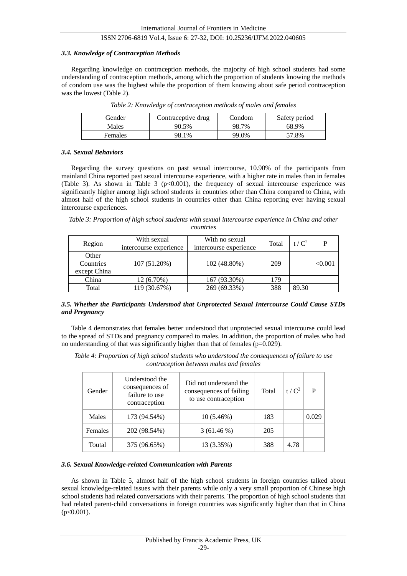#### *3.3. Knowledge of Contraception Methods*

Regarding knowledge on contraception methods, the majority of high school students had some understanding of contraception methods, among which the proportion of students knowing the methods of condom use was the highest while the proportion of them knowing about safe period contraception was the lowest (Table 2).

| Gender  | Contraceptive drug | Condom | Safety period |
|---------|--------------------|--------|---------------|
| Males   | 90.5%              | 98.7%  | 68.9%         |
| Females | 98.1%              | 99.0%  | 57.8%         |

*Table 2: Knowledge of contraception methods of males and females*

#### *3.4. Sexual Behaviors*

Regarding the survey questions on past sexual intercourse, 10.90% of the participants from mainland China reported past sexual intercourse experience, with a higher rate in males than in females (Table 3). As shown in Table 3 ( $p<0.001$ ), the frequency of sexual intercourse experience was significantly higher among high school students in countries other than China compared to China, with almost half of the high school students in countries other than China reporting ever having sexual intercourse experiences.

*Table 3: Proportion of high school students with sexual intercourse experience in China and other countries*

| Region                             | With sexual<br>intercourse experience | With no sexual<br>intercourse experience | Total | $t/C^2$ | D       |
|------------------------------------|---------------------------------------|------------------------------------------|-------|---------|---------|
| Other<br>Countries<br>except China | 107 (51.20%)                          | 102 (48.80%)                             | 209   |         | < 0.001 |
| China                              | 12 (6.70%)                            | 167 (93.30%)                             | 179   |         |         |
| Total                              | 119 (30.67%)                          | 269 (69.33%)                             | 388   | 89.30   |         |

## *3.5. Whether the Participants Understood that Unprotected Sexual Intercourse Could Cause STDs and Pregnancy*

Table 4 demonstrates that females better understood that unprotected sexual intercourse could lead to the spread of STDs and pregnancy compared to males. In addition, the proportion of males who had no understanding of that was significantly higher than that of females (p=0.029).

*Table 4: Proportion of high school students who understood the consequences of failure to use contraception between males and females*

| Gender         | Understood the<br>consequences of<br>failure to use<br>contraception | Did not understand the<br>consequences of failing<br>to use contraception | Total | $t/C^2$ | D     |
|----------------|----------------------------------------------------------------------|---------------------------------------------------------------------------|-------|---------|-------|
| Males          | 173 (94.54%)                                                         | $10(5.46\%)$                                                              | 183   |         | 0.029 |
| <b>Females</b> | 202 (98.54%)                                                         | $3(61.46\%)$                                                              | 205   |         |       |
| Toutal         | 375 (96.65%)                                                         | 13 (3.35%)                                                                | 388   | 4.78    |       |

#### *3.6. Sexual Knowledge-related Communication with Parents*

As shown in Table 5, almost half of the high school students in foreign countries talked about sexual knowledge-related issues with their parents while only a very small proportion of Chinese high school students had related conversations with their parents. The proportion of high school students that had related parent-child conversations in foreign countries was significantly higher than that in China  $(p<0.001)$ .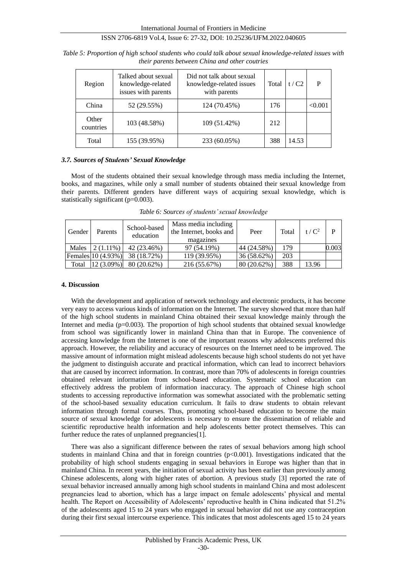| Region             | Talked about sexual<br>knowledge-related<br>issues with parents | Did not talk about sexual<br>knowledge-related issues<br>with parents | Total | t/C2  | P       |
|--------------------|-----------------------------------------------------------------|-----------------------------------------------------------------------|-------|-------|---------|
| China              | 52 (29.55%)                                                     | 124 (70.45%)                                                          | 176   |       | < 0.001 |
| Other<br>countries | 103 (48.58%)                                                    | 109 (51.42%)                                                          | 212   |       |         |
| Total              | 155 (39.95%)                                                    | 233 (60.05%)                                                          | 388   | 14.53 |         |

*Table 5: Proportion of high school students who could talk about sexual knowledge-related issues with their parents between China and other coutries*

## *3.7. Sources of Students' Sexual Knowledge*

Most of the students obtained their sexual knowledge through mass media including the Internet, books, and magazines, while only a small number of students obtained their sexual knowledge from their parents. Different genders have different ways of acquiring sexual knowledge, which is statistically significant (p=0.003).

| Gender | Parents            | School-based<br>education | Mass media including<br>the Internet, books and<br>magazines | Peer        | Total | $t/C^2$ | P     |
|--------|--------------------|---------------------------|--------------------------------------------------------------|-------------|-------|---------|-------|
| Males  | $2(1.11\%)$        | 42 (23.46%)               | 97 (54.19%)                                                  | 44 (24.58%) | 179   |         | 0.003 |
|        | Females 10 (4.93%) | 38 (18.72%)               | 119 (39.95%)                                                 | 36 (58.62%) | 203   |         |       |
| Total  | $12(3.09\%)$       | 80(20.62%)                | 216 (55.67%)                                                 | 80(20.62%)  | 388   | 13.96   |       |

*Table 6: Sources of students' sexual knowledge*

#### **4. Discussion**

With the development and application of network technology and electronic products, it has become very easy to access various kinds of information on the Internet. The survey showed that more than half of the high school students in mainland China obtained their sexual knowledge mainly through the Internet and media ( $p=0.003$ ). The proportion of high school students that obtained sexual knowledge from school was significantly lower in mainland China than that in Europe. The convenience of accessing knowledge from the Internet is one of the important reasons why adolescents preferred this approach. However, the reliability and accuracy of resources on the Internet need to be improved. The massive amount of information might mislead adolescents because high school students do not yet have the judgment to distinguish accurate and practical information, which can lead to incorrect behaviors that are caused by incorrect information. In contrast, more than 70% of adolescents in foreign countries obtained relevant information from school-based education. Systematic school education can effectively address the problem of information inaccuracy. The approach of Chinese high school students to accessing reproductive information was somewhat associated with the problematic setting of the school-based sexuality education curriculum. It fails to draw students to obtain relevant information through formal courses. Thus, promoting school-based education to become the main source of sexual knowledge for adolescents is necessary to ensure the dissemination of reliable and scientific reproductive health information and help adolescents better protect themselves. This can further reduce the rates of unplanned pregnancies[1].

There was also a significant difference between the rates of sexual behaviors among high school students in mainland China and that in foreign countries  $(p< 0.001)$ . Investigations indicated that the probability of high school students engaging in sexual behaviors in Europe was higher than that in mainland China. In recent years, the initiation of sexual activity has been earlier than previously among Chinese adolescents, along with higher rates of abortion. A previous study [3] reported the rate of sexual behavior increased annually among high school students in mainland China and most adolescent pregnancies lead to abortion, which has a large impact on female adolescents' physical and mental health. The Report on Accessibility of Adolescents' reproductive health in China indicated that 51.2% of the adolescents aged 15 to 24 years who engaged in sexual behavior did not use any contraception during their first sexual intercourse experience. This indicates that most adolescents aged 15 to 24 years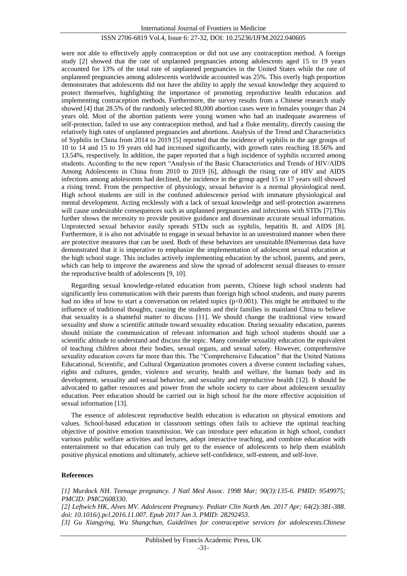were not able to effectively apply contraception or did not use any contraception method. A foreign study [2] showed that the rate of unplanned pregnancies among adolescents aged 15 to 19 years accounted for 13% of the total rate of unplanned pregnancies in the United States while the rate of unplanned pregnancies among adolescents worldwide accounted was 25%. This overly high proportion demonstrates that adolescents did not have the ability to apply the sexual knowledge they acquired to protect themselves, highlighting the importance of promoting reproductive health education and implementing contraception methods. Furthermore, the survey results from a Chinese research study showed [4] that 28.5% of the randomly selected 80,000 abortion cases were in females younger than 24 years old. Most of the abortion patients were young women who had an inadequate awareness of self-protection, failed to use any contraception method, and had a fluke mentality, directly causing the relatively high rates of unplanned pregnancies and abortions. Analysis of the Trend and Characteristics of Syphilis in China from 2014 to 2019 [5] reported that the incidence of syphilis in the age groups of 10 to 14 and 15 to 19 years old had increased significantly, with growth rates reaching 18.56% and 13.54%, respectively. In addition, the paper reported that a high incidence of syphilis occurred among students. According to the new report "Analysis of the Basic Characteristics and Trends of HIV/AIDS Among Adolescents in China from 2010 to 2019 [6], although the rising rate of HIV and AIDS infections among adolescents had declined, the incidence in the group aged 15 to 17 years still showed a rising trend. From the perspective of physiology, sexual behavior is a normal physiological need. High school students are still in the confused adolescence period with immature physiological and mental development. Acting recklessly with a lack of sexual knowledge and self-protection awareness will cause undesirable consequences such as unplanned pregnancies and infections with STDs [7]. This further shows the necessity to provide positive guidance and disseminate accurate sexual information. Unprotected sexual behavior easily spreads STDs such as syphilis, hepatitis B, and AIDS [8]. Furthermore, it is also not advisable to engage in sexual behavior in an unrestrained manner when there are protective measures that can be used. Both of these behaviors are unsuitable.8Numerous data have demonstrated that it is imperative to emphasize the implementation of adolescent sexual education at the high school stage. This includes actively implementing education by the school, parents, and peers, which can help to improve the awareness and slow the spread of adolescent sexual diseases to ensure the reproductive health of adolescents [9, 10].

Regarding sexual knowledge-related education from parents, Chinese high school students had significantly less communication with their parents than foreign high school students, and many parents had no idea of how to start a conversation on related topics (p<0.001). This might be attributed to the influence of traditional thoughts, causing the students and their families in mainland China to believe that sexuality is a shameful matter to discuss [11]. We should change the traditional view toward sexuality and show a scientific attitude toward sexuality education. During sexuality education, parents should initiate the communication of relevant information and high school students should use a scientific altitude to understand and discuss the topic. Many consider sexuality education the equivalent of teaching children about their bodies, sexual organs, and sexual safety. However, comprehensive sexuality education covers far more than this. The "Comprehensive Education" that the United Nations Educational, Scientific, and Cultural Organization promotes covers a diverse content including values, rights and cultures, gender, violence and security, health and welfare, the human body and its development, sexuality and sexual behavior, and sexuality and reproductive health [12]. It should be advocated to gather resources and power from the whole society to care about adolescent sexuality education. Peer education should be carried out in high school for the more effective acquisition of sexual information [13].

The essence of adolescent reproductive health education is education on physical emotions and values. School-based education in classroom settings often fails to achieve the optimal teaching objective of positive emotion transmission. We can introduce peer education in high school, conduct various public welfare activities and lectures, adopt interactive teaching, and combine education with entertainment so that education can truly get to the essence of adolescents to help them establish positive physical emotions and ultimately, achieve self-confidence, self-esteem, and self-love.

#### **References**

*[1] Murdock NH. Teenage pregnancy. J Natl Med Assoc. 1998 Mar; 90(3):135-6. PMID: 9549975; PMCID: PMC2608330.*

*[2] Leftwich HK, Alves MV. Adolescent Pregnancy. Pediatr Clin North Am. 2017 Apr; 64(2):381-388. doi: 10.1016/j.pcl.2016.11.007. Epub 2017 Jan 3. PMID: 28292453.*